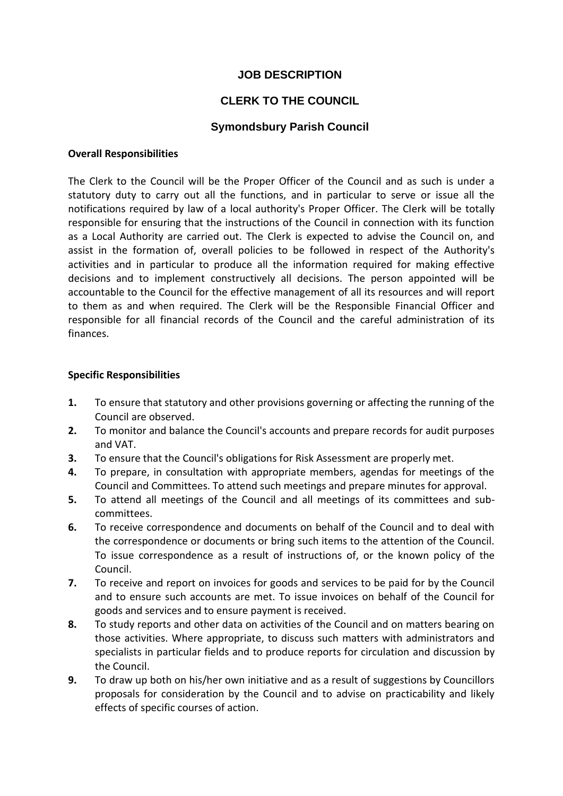## **JOB DESCRIPTION**

# **CLERK TO THE COUNCIL**

## **Symondsbury Parish Council**

#### **Overall Responsibilities**

The Clerk to the Council will be the Proper Officer of the Council and as such is under a statutory duty to carry out all the functions, and in particular to serve or issue all the notifications required by law of a local authority's Proper Officer. The Clerk will be totally responsible for ensuring that the instructions of the Council in connection with its function as a Local Authority are carried out. The Clerk is expected to advise the Council on, and assist in the formation of, overall policies to be followed in respect of the Authority's activities and in particular to produce all the information required for making effective decisions and to implement constructively all decisions. The person appointed will be accountable to the Council for the effective management of all its resources and will report to them as and when required. The Clerk will be the Responsible Financial Officer and responsible for all financial records of the Council and the careful administration of its finances.

#### **Specific Responsibilities**

- **1.** To ensure that statutory and other provisions governing or affecting the running of the Council are observed.
- **2.** To monitor and balance the Council's accounts and prepare records for audit purposes and VAT.
- **3.** To ensure that the Council's obligations for Risk Assessment are properly met.
- **4.** To prepare, in consultation with appropriate members, agendas for meetings of the Council and Committees. To attend such meetings and prepare minutes for approval.
- **5.** To attend all meetings of the Council and all meetings of its committees and subcommittees.
- **6.** To receive correspondence and documents on behalf of the Council and to deal with the correspondence or documents or bring such items to the attention of the Council. To issue correspondence as a result of instructions of, or the known policy of the Council.
- **7.** To receive and report on invoices for goods and services to be paid for by the Council and to ensure such accounts are met. To issue invoices on behalf of the Council for goods and services and to ensure payment is received.
- **8.** To study reports and other data on activities of the Council and on matters bearing on those activities. Where appropriate, to discuss such matters with administrators and specialists in particular fields and to produce reports for circulation and discussion by the Council.
- **9.** To draw up both on his/her own initiative and as a result of suggestions by Councillors proposals for consideration by the Council and to advise on practicability and likely effects of specific courses of action.